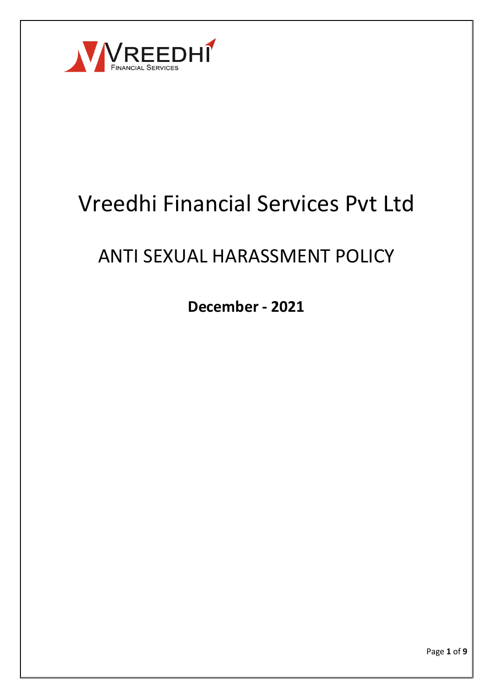

# Vreedhi Financial Services Pvt Ltd

## ANTI SEXUAL HARASSMENT POLICY

**December - 2021**

Page **1** of **9**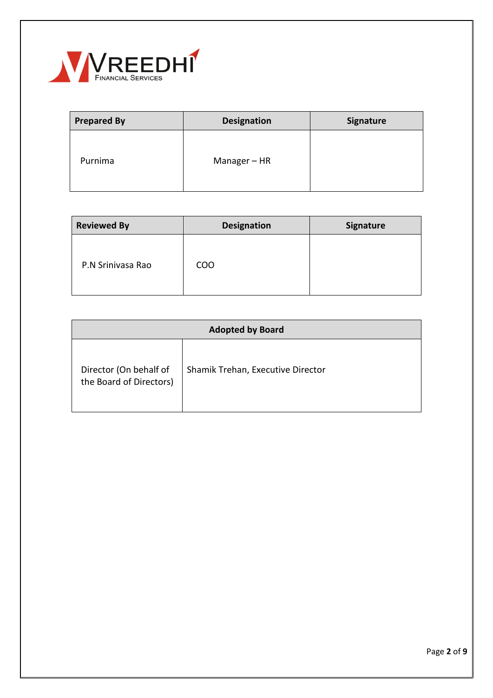

| <b>Prepared By</b> | <b>Designation</b> | <b>Signature</b> |
|--------------------|--------------------|------------------|
| Purnima            | Manager - HR       |                  |

| <b>Reviewed By</b> | <b>Designation</b> | Signature |
|--------------------|--------------------|-----------|
| P.N Srinivasa Rao  | <b>COO</b>         |           |

| <b>Adopted by Board</b>                           |                                   |  |
|---------------------------------------------------|-----------------------------------|--|
| Director (On behalf of<br>the Board of Directors) | Shamik Trehan, Executive Director |  |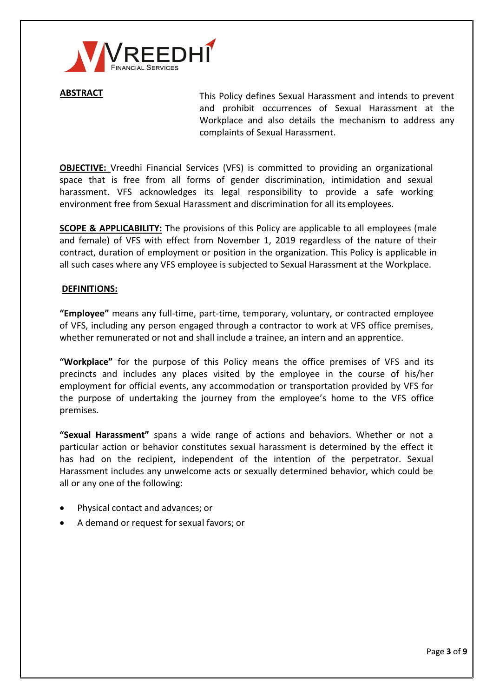

ABSTRACT This Policy defines Sexual Harassment and intends to prevent and prohibit occurrences of Sexual Harassment at the Workplace and also details the mechanism to address any complaints of Sexual Harassment.

**OBJECTIVE:** Vreedhi Financial Services (VFS) is committed to providing an organizational space that is free from all forms of gender discrimination, intimidation and sexual harassment. VFS acknowledges its legal responsibility to provide a safe working environment free from Sexual Harassment and discrimination for all its employees.

**SCOPE & APPLICABILITY:** The provisions of this Policy are applicable to all employees (male and female) of VFS with effect from November 1, 2019 regardless of the nature of their contract, duration of employment or position in the organization. This Policy is applicable in all such cases where any VFS employee is subjected to Sexual Harassment at the Workplace.

#### **DEFINITIONS:**

**"Employee"** means any full-time, part-time, temporary, voluntary, or contracted employee of VFS, including any person engaged through a contractor to work at VFS office premises, whether remunerated or not and shall include a trainee, an intern and an apprentice.

**"Workplace"** for the purpose of this Policy means the office premises of VFS and its precincts and includes any places visited by the employee in the course of his/her employment for official events, any accommodation or transportation provided by VFS for the purpose of undertaking the journey from the employee's home to the VFS office premises.

**"Sexual Harassment"** spans a wide range of actions and behaviors. Whether or not a particular action or behavior constitutes sexual harassment is determined by the effect it has had on the recipient, independent of the intention of the perpetrator. Sexual Harassment includes any unwelcome acts or sexually determined behavior, which could be all or any one of the following:

- Physical contact and advances; or
- A demand or request for sexual favors; or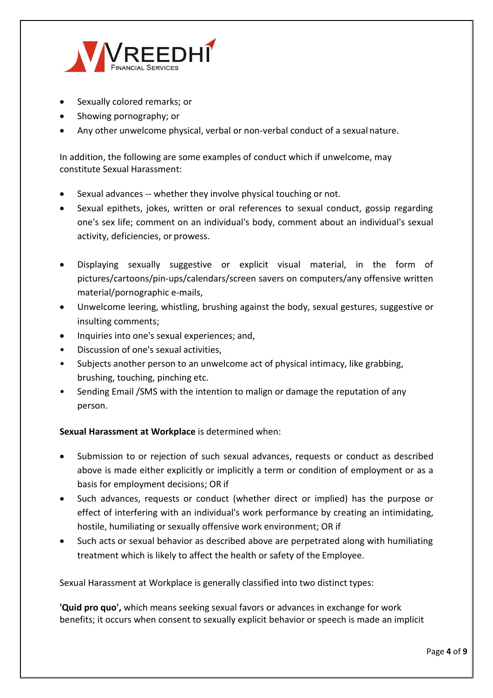

- Sexually colored remarks; or
- Showing pornography; or
- Any other unwelcome physical, verbal or non-verbal conduct of a sexual nature.

In addition, the following are some examples of conduct which if unwelcome, may constitute Sexual Harassment:

- Sexual advances -- whether they involve physical touching or not.
- Sexual epithets, jokes, written or oral references to sexual conduct, gossip regarding one's sex life; comment on an individual's body, comment about an individual's sexual activity, deficiencies, or prowess.
- Displaying sexually suggestive or explicit visual material, in the form of pictures/cartoons/pin-ups/calendars/screen savers on computers/any offensive written material/pornographic e-mails,
- Unwelcome leering, whistling, brushing against the body, sexual gestures, suggestive or insulting comments;
- Inquiries into one's sexual experiences; and,
- Discussion of one's sexual activities,
- Subjects another person to an unwelcome act of physical intimacy, like grabbing, brushing, touching, pinching etc.
- Sending Email /SMS with the intention to malign or damage the reputation of any person.

### **Sexual Harassment at Workplace** is determined when:

- Submission to or rejection of such sexual advances, requests or conduct as described above is made either explicitly or implicitly a term or condition of employment or as a basis for employment decisions; OR if
- Such advances, requests or conduct (whether direct or implied) has the purpose or effect of interfering with an individual's work performance by creating an intimidating, hostile, humiliating or sexually offensive work environment; OR if
- Such acts or sexual behavior as described above are perpetrated along with humiliating treatment which is likely to affect the health or safety of the Employee.

Sexual Harassment at Workplace is generally classified into two distinct types:

**'Quid pro quo',** which means seeking sexual favors or advances in exchange for work benefits; it occurs when consent to sexually explicit behavior or speech is made an implicit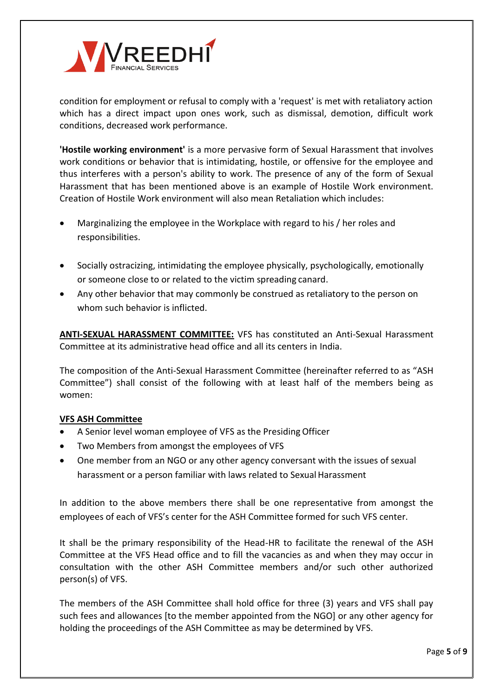

condition for employment or refusal to comply with a 'request' is met with retaliatory action which has a direct impact upon ones work, such as dismissal, demotion, difficult work conditions, decreased work performance.

**'Hostile working environment'** is a more pervasive form of Sexual Harassment that involves work conditions or behavior that is intimidating, hostile, or offensive for the employee and thus interferes with a person's ability to work. The presence of any of the form of Sexual Harassment that has been mentioned above is an example of Hostile Work environment. Creation of Hostile Work environment will also mean Retaliation which includes:

- Marginalizing the employee in the Workplace with regard to his / her roles and responsibilities.
- Socially ostracizing, intimidating the employee physically, psychologically, emotionally or someone close to or related to the victim spreading canard.
- Any other behavior that may commonly be construed as retaliatory to the person on whom such behavior is inflicted.

**ANTI-SEXUAL HARASSMENT COMMITTEE:** VFS has constituted an Anti-Sexual Harassment Committee at its administrative head office and all its centers in India.

The composition of the Anti-Sexual Harassment Committee (hereinafter referred to as "ASH Committee") shall consist of the following with at least half of the members being as women:

### **VFS ASH Committee**

- A Senior level woman employee of VFS as the Presiding Officer
- Two Members from amongst the employees of VFS
- One member from an NGO or any other agency conversant with the issues of sexual harassment or a person familiar with laws related to Sexual Harassment

In addition to the above members there shall be one representative from amongst the employees of each of VFS's center for the ASH Committee formed for such VFS center.

It shall be the primary responsibility of the Head-HR to facilitate the renewal of the ASH Committee at the VFS Head office and to fill the vacancies as and when they may occur in consultation with the other ASH Committee members and/or such other authorized person(s) of VFS.

The members of the ASH Committee shall hold office for three (3) years and VFS shall pay such fees and allowances [to the member appointed from the NGO] or any other agency for holding the proceedings of the ASH Committee as may be determined by VFS.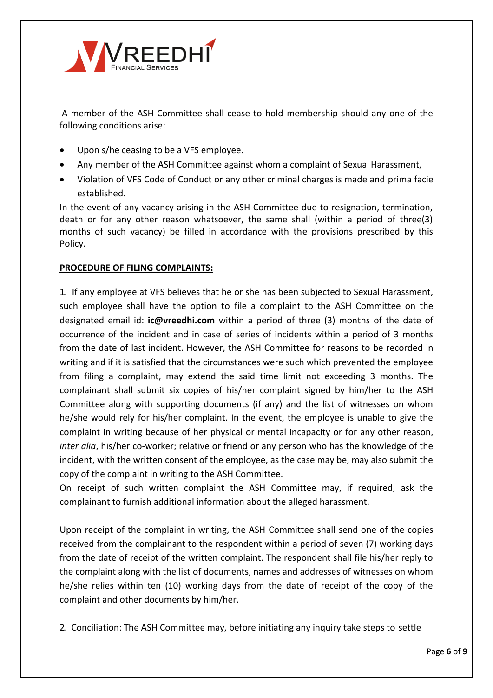

A member of the ASH Committee shall cease to hold membership should any one of the following conditions arise:

- Upon s/he ceasing to be a VFS employee.
- Any member of the ASH Committee against whom a complaint of Sexual Harassment,
- Violation of VFS Code of Conduct or any other criminal charges is made and prima facie established.

In the event of any vacancy arising in the ASH Committee due to resignation, termination, death or for any other reason whatsoever, the same shall (within a period of three(3) months of such vacancy) be filled in accordance with the provisions prescribed by this Policy.

#### **PROCEDURE OF FILING COMPLAINTS:**

1. If any employee at VFS believes that he or she has been subjected to Sexual Harassment, such employee shall have the option to file a complaint to the ASH Committee on the designated email id: **[ic@vreedhi.com](mailto:ic@vreedhi.com)** within a period of three (3) months of the date of occurrence of the incident and in case of series of incidents within a period of 3 months from the date of last incident. However, the ASH Committee for reasons to be recorded in writing and if it is satisfied that the circumstances were such which prevented the employee from filing a complaint, may extend the said time limit not exceeding 3 months. The complainant shall submit six copies of his/her complaint signed by him/her to the ASH Committee along with supporting documents (if any) and the list of witnesses on whom he/she would rely for his/her complaint. In the event, the employee is unable to give the complaint in writing because of her physical or mental incapacity or for any other reason, *inter alia*, his/her co-worker; relative or friend or any person who has the knowledge of the incident, with the written consent of the employee, as the case may be, may also submit the copy of the complaint in writing to the ASH Committee.

On receipt of such written complaint the ASH Committee may, if required, ask the complainant to furnish additional information about the alleged harassment.

Upon receipt of the complaint in writing, the ASH Committee shall send one of the copies received from the complainant to the respondent within a period of seven (7) working days from the date of receipt of the written complaint. The respondent shall file his/her reply to the complaint along with the list of documents, names and addresses of witnesses on whom he/she relies within ten (10) working days from the date of receipt of the copy of the complaint and other documents by him/her.

2. Conciliation: The ASH Committee may, before initiating any inquiry take steps to settle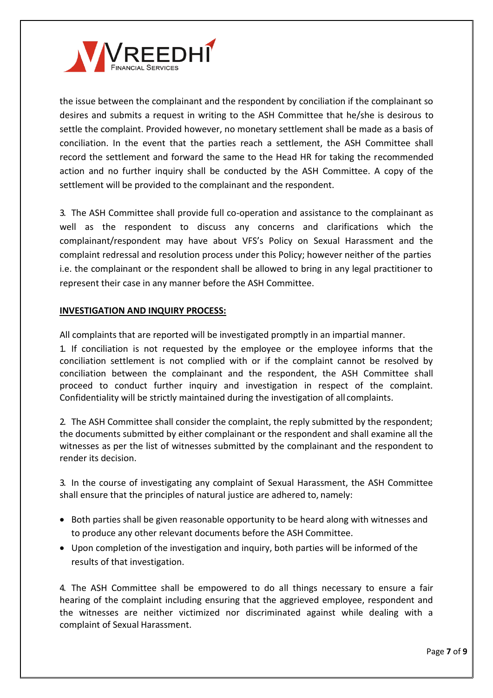

the issue between the complainant and the respondent by conciliation if the complainant so desires and submits a request in writing to the ASH Committee that he/she is desirous to settle the complaint. Provided however, no monetary settlement shall be made as a basis of conciliation. In the event that the parties reach a settlement, the ASH Committee shall record the settlement and forward the same to the Head HR for taking the recommended action and no further inquiry shall be conducted by the ASH Committee. A copy of the settlement will be provided to the complainant and the respondent.

3. The ASH Committee shall provide full co-operation and assistance to the complainant as well as the respondent to discuss any concerns and clarifications which the complainant/respondent may have about VFS's Policy on Sexual Harassment and the complaint redressal and resolution process under this Policy; however neither of the parties i.e. the complainant or the respondent shall be allowed to bring in any legal practitioner to represent their case in any manner before the ASH Committee.

#### **INVESTIGATION AND INQUIRY PROCESS:**

All complaints that are reported will be investigated promptly in an impartial manner.

1. If conciliation is not requested by the employee or the employee informs that the conciliation settlement is not complied with or if the complaint cannot be resolved by conciliation between the complainant and the respondent, the ASH Committee shall proceed to conduct further inquiry and investigation in respect of the complaint. Confidentiality will be strictly maintained during the investigation of all complaints.

2. The ASH Committee shall consider the complaint, the reply submitted by the respondent; the documents submitted by either complainant or the respondent and shall examine all the witnesses as per the list of witnesses submitted by the complainant and the respondent to render its decision.

3. In the course of investigating any complaint of Sexual Harassment, the ASH Committee shall ensure that the principles of natural justice are adhered to, namely:

- Both parties shall be given reasonable opportunity to be heard along with witnesses and to produce any other relevant documents before the ASH Committee.
- Upon completion of the investigation and inquiry, both parties will be informed of the results of that investigation.

4. The ASH Committee shall be empowered to do all things necessary to ensure a fair hearing of the complaint including ensuring that the aggrieved employee, respondent and the witnesses are neither victimized nor discriminated against while dealing with a complaint of Sexual Harassment.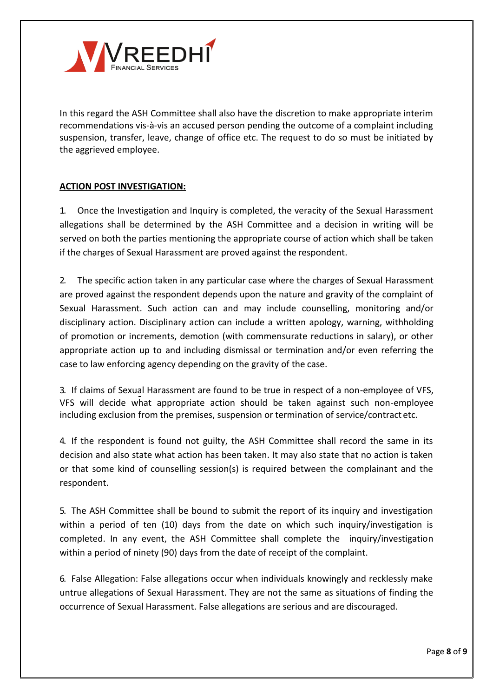

In this regard the ASH Committee shall also have the discretion to make appropriate interim recommendations vis-à-vis an accused person pending the outcome of a complaint including suspension, transfer, leave, change of office etc. The request to do so must be initiated by the aggrieved employee.

#### **ACTION POST INVESTIGATION:**

1. Once the Investigation and Inquiry is completed, the veracity of the Sexual Harassment allegations shall be determined by the ASH Committee and a decision in writing will be served on both the parties mentioning the appropriate course of action which shall be taken if the charges of Sexual Harassment are proved against the respondent.

2. The specific action taken in any particular case where the charges of Sexual Harassment are proved against the respondent depends upon the nature and gravity of the complaint of Sexual Harassment. Such action can and may include counselling, monitoring and/or disciplinary action. Disciplinary action can include a written apology, warning, withholding of promotion or increments, demotion (with commensurate reductions in salary), or other appropriate action up to and including dismissal or termination and/or even referring the case to law enforcing agency depending on the gravity of the case.

3. If claims of Sexual Harassment are found to be true in respect of a non-employee of VFS, VFS will decide what appropriate action should be taken against such non-employee including exclusion from the premises, suspension or termination of service/contract etc.

4. If the respondent is found not guilty, the ASH Committee shall record the same in its decision and also state what action has been taken. It may also state that no action is taken or that some kind of counselling session(s) is required between the complainant and the respondent.

5. The ASH Committee shall be bound to submit the report of its inquiry and investigation within a period of ten (10) days from the date on which such inquiry/investigation is completed. In any event, the ASH Committee shall complete the inquiry/investigation within a period of ninety (90) days from the date of receipt of the complaint.

6. False Allegation: False allegations occur when individuals knowingly and recklessly make untrue allegations of Sexual Harassment. They are not the same as situations of finding the occurrence of Sexual Harassment. False allegations are serious and are discouraged.